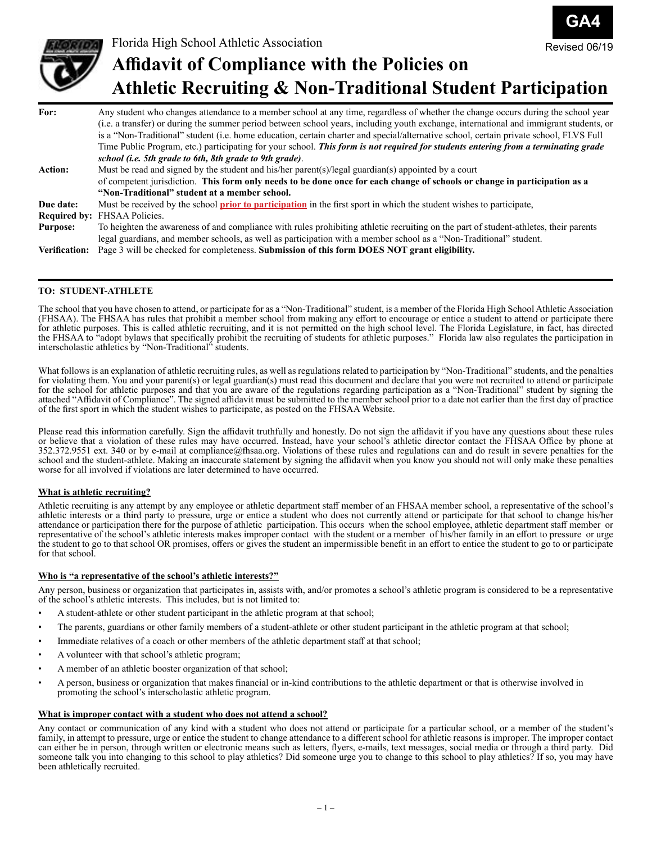



# **Affidavit of Compliance with the Policies on Athletic Recruiting & Non-Traditional Student Participation**

| For:                 | Any student who changes attendance to a member school at any time, regardless of whether the change occurs during the school year      |
|----------------------|----------------------------------------------------------------------------------------------------------------------------------------|
|                      | (i.e. a transfer) or during the summer period between school years, including youth exchange, international and immigrant students, or |
|                      | is a "Non-Traditional" student (i.e. home education, certain charter and special/alternative school, certain private school, FLVS Full |
|                      | Time Public Program, etc.) participating for your school. This form is not required for students entering from a terminating grade     |
|                      | school ( <i>i.e.</i> 5th grade to 6th, 8th grade to 9th grade).                                                                        |
| <b>Action:</b>       | Must be read and signed by the student and his/her parent(s)/legal guardian(s) appointed by a court                                    |
|                      | of competent jurisdiction. This form only needs to be done once for each change of schools or change in participation as a             |
|                      | "Non-Traditional" student at a member school.                                                                                          |
| Due date:            | Must be received by the school <b>prior to participation</b> in the first sport in which the student wishes to participate,            |
|                      | <b>Required by: FHSAA Policies.</b>                                                                                                    |
| <b>Purpose:</b>      | To heighten the awareness of and compliance with rules prohibiting athletic recruiting on the part of student-athletes, their parents  |
|                      | legal guardians, and member schools, as well as participation with a member school as a "Non-Traditional" student.                     |
| <b>Verification:</b> | Page 3 will be checked for completeness. Submission of this form DOES NOT grant eligibility.                                           |

#### **TO: STUDENT-ATHLETE**

The school that you have chosen to attend, or participate for as a "Non-Traditional" student, is a member of the Florida High School Athletic Association (FHSAA). The FHSAA has rules that prohibit a member school from making any effort to encourage or entice a student to attend or participate there for athletic purposes. This is called athletic recruiting, and it is not permitted on the high school level. The Florida Legislature, in fact, has directed the FHSAA to "adopt bylaws that specifically prohibit the recruiting of students for athletic purposes." Florida law also regulates the participation in interscholastic athletics by "Non-Traditional" students.

What follows is an explanation of athletic recruiting rules, as well as regulations related to participation by "Non-Traditional" students, and the penalties for violating them. You and your parent(s) or legal guardian(s) must read this document and declare that you were not recruited to attend or participate for the school for athletic purposes and that you are aware of the regulations regarding participation as a "Non-Traditional" student by signing the attached "Affidavit of Compliance". The signed affidavit must be submitted to the member school prior to a date not earlier than the first day of practice of the first sport in which the student wishes to participate, as posted on the FHSAA Website.

Please read this information carefully. Sign the affidavit truthfully and honestly. Do not sign the affidavit if you have any questions about these rules or believe that a violation of these rules may have occurred. Instead, have your school's athletic director contact the FHSAA Office by phone at 352.372.9551 ext. 340 or by e-mail at compliance@fhsaa.org. Violations of these rules and regulations can and do result in severe penalties for the school and the student-athlete. Making an inaccurate statement by signing the affidavit when you know you should not will only make these penalties worse for all involved if violations are later determined to have occurred.

#### **What is athletic recruiting?**

Athletic recruiting is any attempt by any employee or athletic department staff member of an FHSAA member school, a representative of the school's athletic interests or a third party to pressure, urge or entice a student who does not currently attend or participate for that school to change his/her attendance or participation there for the purpose of athletic participation. This occurs when the school employee, athletic department staff member or representative of the school's athletic interests makes improper contact with the student or a member of his/her family in an effort to pressure or urge the student to go to that school OR promises, offers or gives the student an impermissible benefit in an effort to entice the student to go to or participate for that school.

#### **Who is "a representative of the school's athletic interests?"**

Any person, business or organization that participates in, assists with, and/or promotes a school's athletic program is considered to be a representative of the school's athletic interests. This includes, but is not limited to:

- A student-athlete or other student participant in the athletic program at that school;
- The parents, guardians or other family members of a student-athlete or other student participant in the athletic program at that school;
- Immediate relatives of a coach or other members of the athletic department staff at that school;
- A volunteer with that school's athletic program;
- A member of an athletic booster organization of that school;
- A person, business or organization that makes financial or in-kind contributions to the athletic department or that is otherwise involved in promoting the school's interscholastic athletic program.

#### **What is improper contact with a student who does not attend a school?**

Any contact or communication of any kind with a student who does not attend or participate for a particular school, or a member of the student's family, in attempt to pressure, urge or entice the student to change attendance to a different school for athletic reasons is improper. The improper contact can either be in person, through written or electronic means such as letters, flyers, e-mails, text messages, social media or through a third party. Did someone talk you into changing to this school to play athletics? Did someone urge you to change to this school to play athletics? If so, you may have been athletically recruited.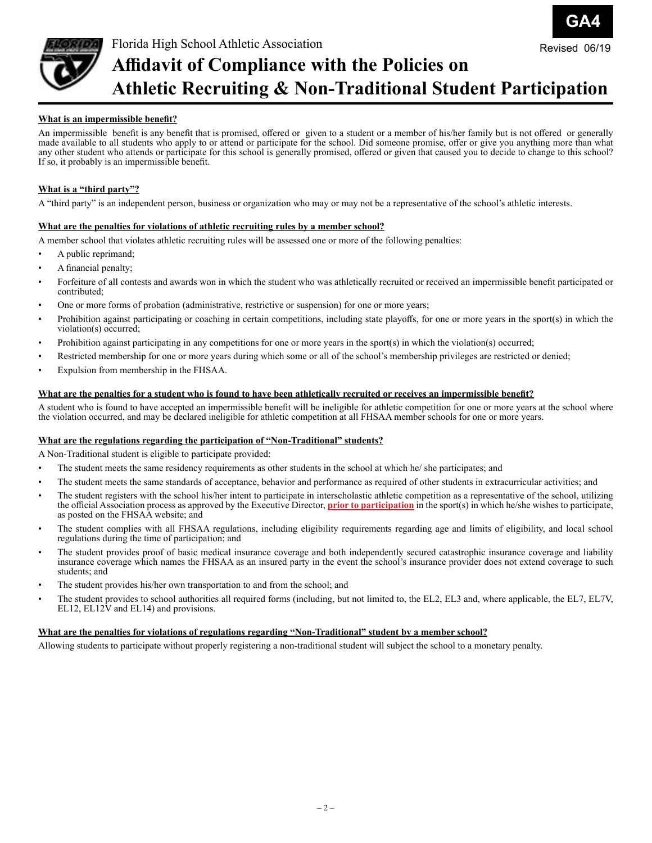

### **Affidavit of Compliance with the Policies on Athletic Recruiting & Non-Traditional Student Participation** Revised 06/19

**GA4**

#### **What is an impermissible benefit?**

An impermissible benefit is any benefit that is promised, offered or given to a student or a member of his/her family but is not offered or generally made available to all students who apply to or attend or participate for the school. Did someone promise, offer or give you anything more than what any other student who attends or participate for this school is generally promised, offered or given that caused you to decide to change to this school? If so, it probably is an impermissible benefit.

#### **What is a "third party"?**

A "third party" is an independent person, business or organization who may or may not be a representative of the school's athletic interests.

#### **What are the penalties for violations of athletic recruiting rules by a member school?**

A member school that violates athletic recruiting rules will be assessed one or more of the following penalties:

- A public reprimand;
- A financial penalty;
- Forfeiture of all contests and awards won in which the student who was athletically recruited or received an impermissible benefit participated or contributed;
- One or more forms of probation (administrative, restrictive or suspension) for one or more years;
- Prohibition against participating or coaching in certain competitions, including state playoffs, for one or more years in the sport(s) in which the violation(s) occurred;
- Prohibition against participating in any competitions for one or more years in the sport(s) in which the violation(s) occurred;
- Restricted membership for one or more years during which some or all of the school's membership privileges are restricted or denied;
- Expulsion from membership in the FHSAA.

#### **What are the penalties for a student who is found to have been athletically recruited or receives an impermissible benefit?**

A student who is found to have accepted an impermissible benefit will be ineligible for athletic competition for one or more years at the school where the violation occurred, and may be declared ineligible for athletic competition at all FHSAA member schools for one or more years.

#### **What are the regulations regarding the participation of "Non-Traditional" students?**

A Non-Traditional student is eligible to participate provided:

- The student meets the same residency requirements as other students in the school at which he/ she participates; and
- The student meets the same standards of acceptance, behavior and performance as required of other students in extracurricular activities; and
- The student registers with the school his/her intent to participate in interscholastic athletic competition as a representative of the school, utilizing the official Association process as approved by the Executive Director, **prior to participation** in the sport(s) in which he/she wishes to participate, as posted on the FHSAA website; and
- The student complies with all FHSAA regulations, including eligibility requirements regarding age and limits of eligibility, and local school regulations during the time of participation; and
- The student provides proof of basic medical insurance coverage and both independently secured catastrophic insurance coverage and liability insurance coverage which names the FHSAA as an insured party in the event the school's insurance provider does not extend coverage to such students; and
- The student provides his/her own transportation to and from the school; and
- The student provides to school authorities all required forms (including, but not limited to, the EL2, EL3 and, where applicable, the EL7, EL7V, EL12, EL12 $\hat{V}$  and EL14) and provisions.

#### **What are the penalties for violations of regulations regarding "Non-Traditional" student by a member school?**

Allowing students to participate without properly registering a non-traditional student will subject the school to a monetary penalty.